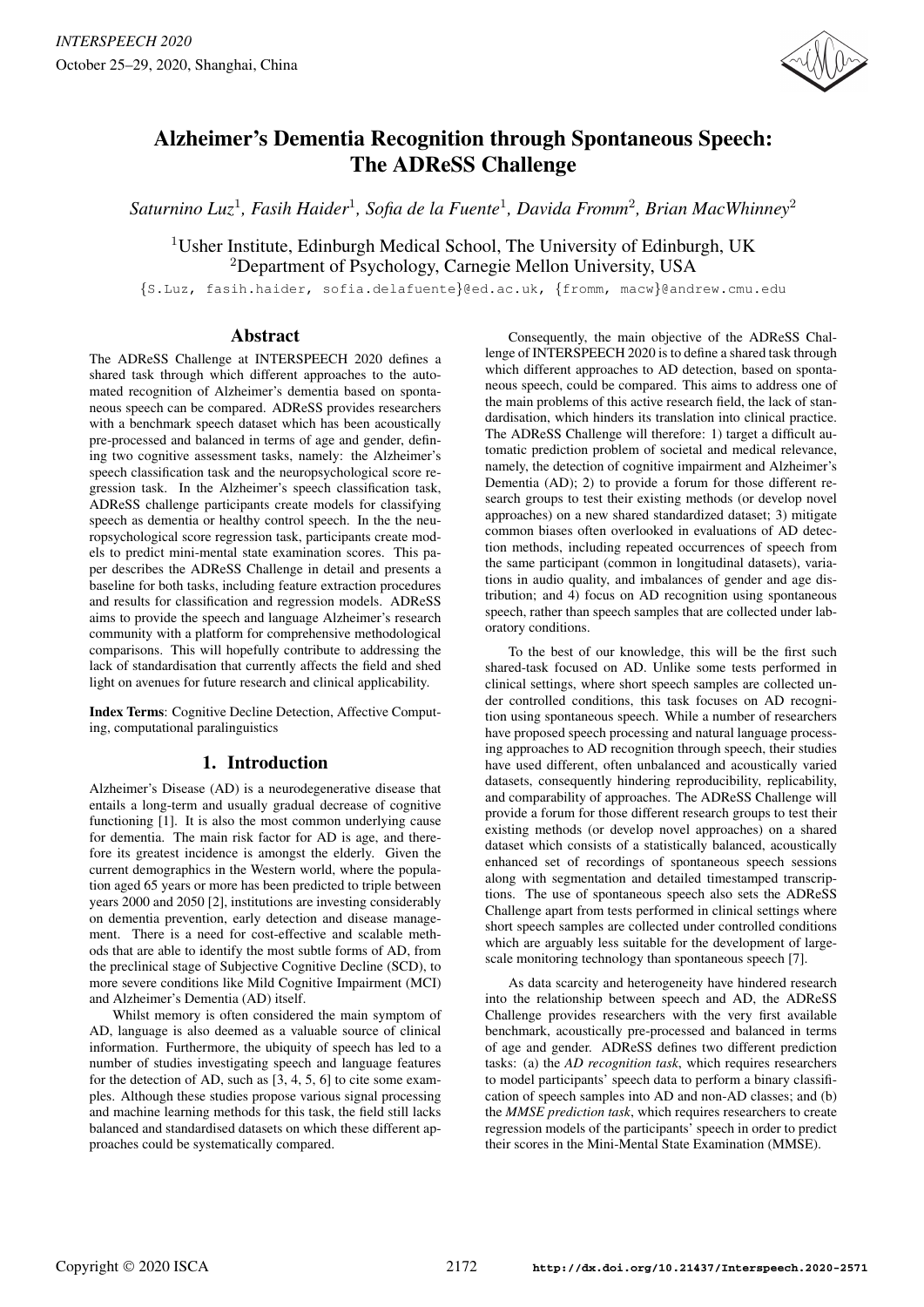

# Alzheimer's Dementia Recognition through Spontaneous Speech: The ADReSS Challenge

*Saturnino Luz*<sup>1</sup> *, Fasih Haider*<sup>1</sup> *, Sofia de la Fuente*<sup>1</sup> *, Davida Fromm*<sup>2</sup> *, Brian MacWhinney*<sup>2</sup>

<sup>1</sup>Usher Institute, Edinburgh Medical School, The University of Edinburgh, UK <sup>2</sup>Department of Psychology, Carnegie Mellon University, USA

{S.Luz, fasih.haider, sofia.delafuente}@ed.ac.uk, {fromm, macw}@andrew.cmu.edu

## Abstract

The ADReSS Challenge at INTERSPEECH 2020 defines a shared task through which different approaches to the automated recognition of Alzheimer's dementia based on spontaneous speech can be compared. ADReSS provides researchers with a benchmark speech dataset which has been acoustically pre-processed and balanced in terms of age and gender, defining two cognitive assessment tasks, namely: the Alzheimer's speech classification task and the neuropsychological score regression task. In the Alzheimer's speech classification task, ADReSS challenge participants create models for classifying speech as dementia or healthy control speech. In the the neuropsychological score regression task, participants create models to predict mini-mental state examination scores. This paper describes the ADReSS Challenge in detail and presents a baseline for both tasks, including feature extraction procedures and results for classification and regression models. ADReSS aims to provide the speech and language Alzheimer's research community with a platform for comprehensive methodological comparisons. This will hopefully contribute to addressing the lack of standardisation that currently affects the field and shed light on avenues for future research and clinical applicability.

Index Terms: Cognitive Decline Detection, Affective Computing, computational paralinguistics

## 1. Introduction

Alzheimer's Disease (AD) is a neurodegenerative disease that entails a long-term and usually gradual decrease of cognitive functioning [1]. It is also the most common underlying cause for dementia. The main risk factor for AD is age, and therefore its greatest incidence is amongst the elderly. Given the current demographics in the Western world, where the population aged 65 years or more has been predicted to triple between years 2000 and 2050 [2], institutions are investing considerably on dementia prevention, early detection and disease management. There is a need for cost-effective and scalable methods that are able to identify the most subtle forms of AD, from the preclinical stage of Subjective Cognitive Decline (SCD), to more severe conditions like Mild Cognitive Impairment (MCI) and Alzheimer's Dementia (AD) itself.

Whilst memory is often considered the main symptom of AD, language is also deemed as a valuable source of clinical information. Furthermore, the ubiquity of speech has led to a number of studies investigating speech and language features for the detection of AD, such as  $[3, 4, 5, 6]$  to cite some examples. Although these studies propose various signal processing and machine learning methods for this task, the field still lacks balanced and standardised datasets on which these different approaches could be systematically compared.

Consequently, the main objective of the ADReSS Challenge of INTERSPEECH 2020 is to define a shared task through which different approaches to AD detection, based on spontaneous speech, could be compared. This aims to address one of the main problems of this active research field, the lack of standardisation, which hinders its translation into clinical practice. The ADReSS Challenge will therefore: 1) target a difficult automatic prediction problem of societal and medical relevance, namely, the detection of cognitive impairment and Alzheimer's Dementia (AD); 2) to provide a forum for those different research groups to test their existing methods (or develop novel approaches) on a new shared standardized dataset; 3) mitigate common biases often overlooked in evaluations of AD detection methods, including repeated occurrences of speech from the same participant (common in longitudinal datasets), variations in audio quality, and imbalances of gender and age distribution; and 4) focus on AD recognition using spontaneous speech, rather than speech samples that are collected under laboratory conditions.

To the best of our knowledge, this will be the first such shared-task focused on AD. Unlike some tests performed in clinical settings, where short speech samples are collected under controlled conditions, this task focuses on AD recognition using spontaneous speech. While a number of researchers have proposed speech processing and natural language processing approaches to AD recognition through speech, their studies have used different, often unbalanced and acoustically varied datasets, consequently hindering reproducibility, replicability, and comparability of approaches. The ADReSS Challenge will provide a forum for those different research groups to test their existing methods (or develop novel approaches) on a shared dataset which consists of a statistically balanced, acoustically enhanced set of recordings of spontaneous speech sessions along with segmentation and detailed timestamped transcriptions. The use of spontaneous speech also sets the ADReSS Challenge apart from tests performed in clinical settings where short speech samples are collected under controlled conditions which are arguably less suitable for the development of largescale monitoring technology than spontaneous speech [7].

As data scarcity and heterogeneity have hindered research into the relationship between speech and AD, the ADReSS Challenge provides researchers with the very first available benchmark, acoustically pre-processed and balanced in terms of age and gender. ADReSS defines two different prediction tasks: (a) the *AD recognition task*, which requires researchers to model participants' speech data to perform a binary classification of speech samples into AD and non-AD classes; and (b) the *MMSE prediction task*, which requires researchers to create regression models of the participants' speech in order to predict their scores in the Mini-Mental State Examination (MMSE).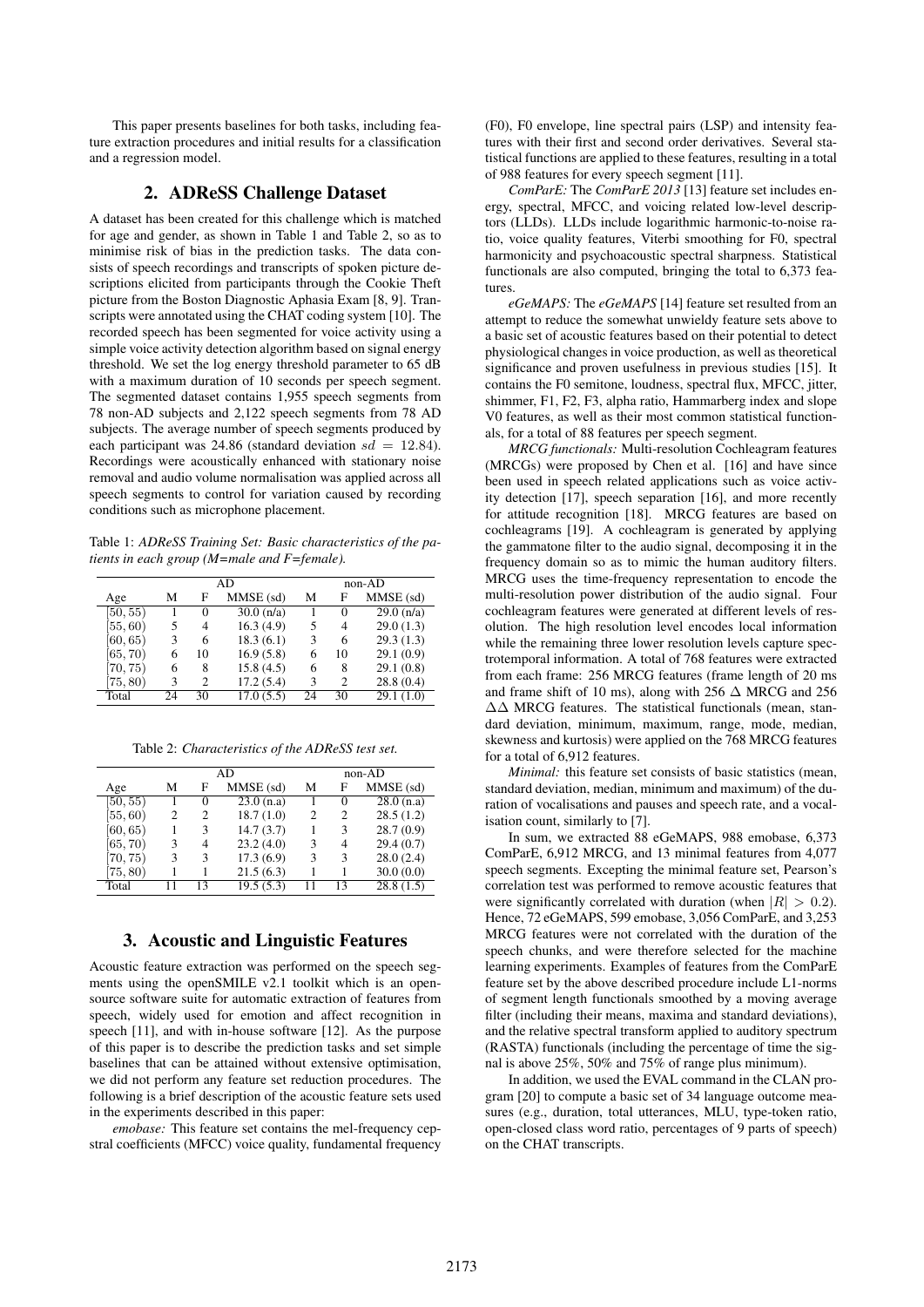This paper presents baselines for both tasks, including feature extraction procedures and initial results for a classification and a regression model.

### 2. ADReSS Challenge Dataset

A dataset has been created for this challenge which is matched for age and gender, as shown in Table 1 and Table 2, so as to minimise risk of bias in the prediction tasks. The data consists of speech recordings and transcripts of spoken picture descriptions elicited from participants through the Cookie Theft picture from the Boston Diagnostic Aphasia Exam [8, 9]. Transcripts were annotated using the CHAT coding system [10]. The recorded speech has been segmented for voice activity using a simple voice activity detection algorithm based on signal energy threshold. We set the log energy threshold parameter to 65 dB with a maximum duration of 10 seconds per speech segment. The segmented dataset contains 1,955 speech segments from 78 non-AD subjects and 2,122 speech segments from 78 AD subjects. The average number of speech segments produced by each participant was 24.86 (standard deviation  $sd = 12.84$ ). Recordings were acoustically enhanced with stationary noise removal and audio volume normalisation was applied across all speech segments to control for variation caused by recording conditions such as microphone placement.

Table 1: *ADReSS Training Set: Basic characteristics of the patients in each group (M=male and F=female).*

|          |    |    | AD           | $non-AD$ |                |                     |
|----------|----|----|--------------|----------|----------------|---------------------|
| Age      | м  | F  | MMSE (sd)    | М        | F              | MMSE (sd)           |
| [50, 55) |    | 0  | $30.0$ (n/a) |          | 0              | $\sqrt{29.0}$ (n/a) |
| [55, 60) | 5  | 4  | 16.3(4.9)    | 5        | 4              | 29.0(1.3)           |
| [60, 65) | 3  | 6  | 18.3(6.1)    | 3        | 6              | 29.3(1.3)           |
| [65, 70) | 6  | 10 | 16.9(5.8)    | 6        | 10             | 29.1(0.9)           |
| [70, 75) | 6  | 8  | 15.8(4.5)    | 6        | 8              | 29.1(0.8)           |
| (75, 80) | 3  | 2  | 17.2(5.4)    | 3        | $\mathfrak{D}$ | 28.8(0.4)           |
| Total    | 24 | 30 | 17.0(5.5)    | 24       | 30             | 29.1(1.0)           |

Table 2: *Characteristics of the ADReSS test set.*

|          |    |        | AD        | non-AD |                |           |
|----------|----|--------|-----------|--------|----------------|-----------|
| Age      | м  | F      | MMSE (sd) | М      | F              | MMSE (sd) |
| [50, 55) |    | $^{0}$ | 23.0(n.a) |        | $\Omega$       | 28.0(n.a) |
| [55, 60) | 2  | 2      | 18.7(1.0) | 2      | 2              | 28.5(1.2) |
| [60, 65) |    | 3      | 14.7(3.7) |        | 3              | 28.7(0.9) |
| [65, 70) | 3  | 4      | 23.2(4.0) | 3      | $\overline{4}$ | 29.4(0.7) |
| [70, 75) | 3  | 3      | 17.3(6.9) | 3      | 3              | 28.0(2.4) |
| [75, 80) |    |        | 21.5(6.3) |        |                | 30.0(0.0) |
| Total    | 11 | 13     | 19.5(5.3) |        | 13             | 28.8(1.5) |

## 3. Acoustic and Linguistic Features

Acoustic feature extraction was performed on the speech segments using the openSMILE v2.1 toolkit which is an opensource software suite for automatic extraction of features from speech, widely used for emotion and affect recognition in speech [11], and with in-house software [12]. As the purpose of this paper is to describe the prediction tasks and set simple baselines that can be attained without extensive optimisation, we did not perform any feature set reduction procedures. The following is a brief description of the acoustic feature sets used in the experiments described in this paper:

*emobase:* This feature set contains the mel-frequency cepstral coefficients (MFCC) voice quality, fundamental frequency

(F0), F0 envelope, line spectral pairs (LSP) and intensity features with their first and second order derivatives. Several statistical functions are applied to these features, resulting in a total of 988 features for every speech segment [11].

*ComParE:* The *ComParE 2013* [13] feature set includes energy, spectral, MFCC, and voicing related low-level descriptors (LLDs). LLDs include logarithmic harmonic-to-noise ratio, voice quality features, Viterbi smoothing for F0, spectral harmonicity and psychoacoustic spectral sharpness. Statistical functionals are also computed, bringing the total to 6,373 features.

*eGeMAPS:* The *eGeMAPS* [14] feature set resulted from an attempt to reduce the somewhat unwieldy feature sets above to a basic set of acoustic features based on their potential to detect physiological changes in voice production, as well as theoretical significance and proven usefulness in previous studies [15]. It contains the F0 semitone, loudness, spectral flux, MFCC, jitter, shimmer, F1, F2, F3, alpha ratio, Hammarberg index and slope V0 features, as well as their most common statistical functionals, for a total of 88 features per speech segment.

*MRCG functionals:* Multi-resolution Cochleagram features (MRCGs) were proposed by Chen et al. [16] and have since been used in speech related applications such as voice activity detection [17], speech separation [16], and more recently for attitude recognition [18]. MRCG features are based on cochleagrams [19]. A cochleagram is generated by applying the gammatone filter to the audio signal, decomposing it in the frequency domain so as to mimic the human auditory filters. MRCG uses the time-frequency representation to encode the multi-resolution power distribution of the audio signal. Four cochleagram features were generated at different levels of resolution. The high resolution level encodes local information while the remaining three lower resolution levels capture spectrotemporal information. A total of 768 features were extracted from each frame: 256 MRCG features (frame length of 20 ms and frame shift of 10 ms), along with 256  $\Delta$  MRCG and 256 ∆∆ MRCG features. The statistical functionals (mean, standard deviation, minimum, maximum, range, mode, median, skewness and kurtosis) were applied on the 768 MRCG features for a total of 6,912 features.

*Minimal:* this feature set consists of basic statistics (mean, standard deviation, median, minimum and maximum) of the duration of vocalisations and pauses and speech rate, and a vocalisation count, similarly to [7].

In sum, we extracted 88 eGeMAPS, 988 emobase, 6,373 ComParE, 6,912 MRCG, and 13 minimal features from 4,077 speech segments. Excepting the minimal feature set, Pearson's correlation test was performed to remove acoustic features that were significantly correlated with duration (when  $|R| > 0.2$ ). Hence, 72 eGeMAPS, 599 emobase, 3,056 ComParE, and 3,253 MRCG features were not correlated with the duration of the speech chunks, and were therefore selected for the machine learning experiments. Examples of features from the ComParE feature set by the above described procedure include L1-norms of segment length functionals smoothed by a moving average filter (including their means, maxima and standard deviations), and the relative spectral transform applied to auditory spectrum (RASTA) functionals (including the percentage of time the signal is above 25%, 50% and 75% of range plus minimum).

In addition, we used the EVAL command in the CLAN program [20] to compute a basic set of 34 language outcome measures (e.g., duration, total utterances, MLU, type-token ratio, open-closed class word ratio, percentages of 9 parts of speech) on the CHAT transcripts.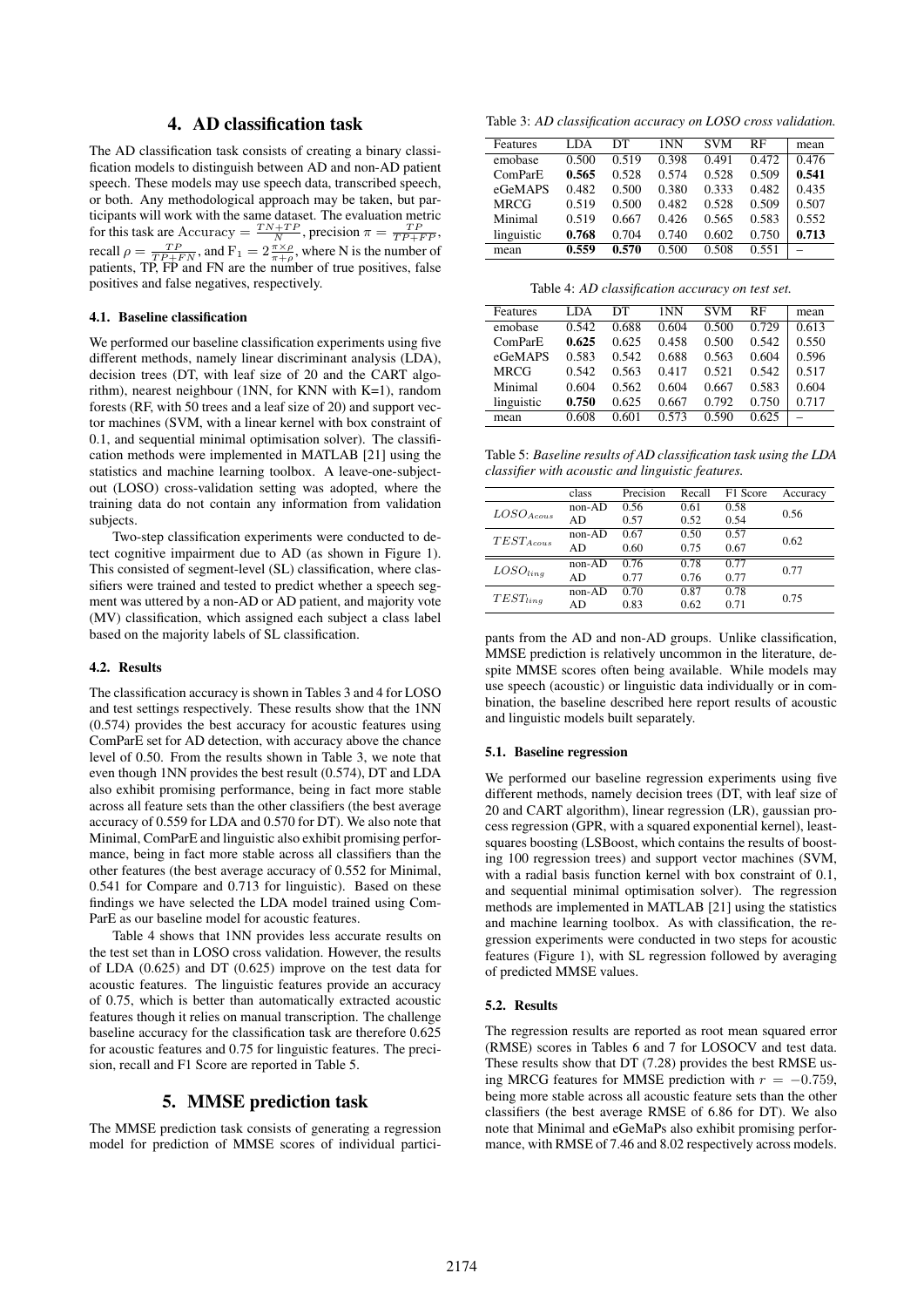## 4. AD classification task

The AD classification task consists of creating a binary classification models to distinguish between AD and non-AD patient speech. These models may use speech data, transcribed speech, or both. Any methodological approach may be taken, but participants will work with the same dataset. The evaluation metric for this task are Accuracy =  $\frac{TN+TP}{N}$ , precision  $\pi = \frac{TP}{TP+FP}$ , recall  $\rho = \frac{TP}{TP + FN}$ , and  $F_1 = 2 \frac{\pi \times \rho}{\pi + \rho}$ , where N is the number of patients, TP, FP and FN are the number of true positives, false positives and false negatives, respectively.

#### 4.1. Baseline classification

We performed our baseline classification experiments using five different methods, namely linear discriminant analysis (LDA), decision trees (DT, with leaf size of 20 and the CART algorithm), nearest neighbour (1NN, for KNN with K=1), random forests (RF, with 50 trees and a leaf size of 20) and support vector machines (SVM, with a linear kernel with box constraint of 0.1, and sequential minimal optimisation solver). The classification methods were implemented in MATLAB [21] using the statistics and machine learning toolbox. A leave-one-subjectout (LOSO) cross-validation setting was adopted, where the training data do not contain any information from validation subjects.

Two-step classification experiments were conducted to detect cognitive impairment due to AD (as shown in Figure 1). This consisted of segment-level (SL) classification, where classifiers were trained and tested to predict whether a speech segment was uttered by a non-AD or AD patient, and majority vote (MV) classification, which assigned each subject a class label based on the majority labels of SL classification.

#### 4.2. Results

The classification accuracy is shown in Tables 3 and 4 for LOSO and test settings respectively. These results show that the 1NN (0.574) provides the best accuracy for acoustic features using ComParE set for AD detection, with accuracy above the chance level of 0.50. From the results shown in Table 3, we note that even though 1NN provides the best result (0.574), DT and LDA also exhibit promising performance, being in fact more stable across all feature sets than the other classifiers (the best average accuracy of 0.559 for LDA and 0.570 for DT). We also note that Minimal, ComParE and linguistic also exhibit promising performance, being in fact more stable across all classifiers than the other features (the best average accuracy of 0.552 for Minimal, 0.541 for Compare and 0.713 for linguistic). Based on these findings we have selected the LDA model trained using Com-ParE as our baseline model for acoustic features.

Table 4 shows that 1NN provides less accurate results on the test set than in LOSO cross validation. However, the results of LDA (0.625) and DT (0.625) improve on the test data for acoustic features. The linguistic features provide an accuracy of 0.75, which is better than automatically extracted acoustic features though it relies on manual transcription. The challenge baseline accuracy for the classification task are therefore 0.625 for acoustic features and 0.75 for linguistic features. The precision, recall and F1 Score are reported in Table 5.

#### 5. MMSE prediction task

The MMSE prediction task consists of generating a regression model for prediction of MMSE scores of individual partici-

Table 3: *AD classification accuracy on LOSO cross validation.*

| <b>Features</b> | <b>LDA</b> | DТ    | 1NN   | <b>SVM</b> | RF    | mean  |
|-----------------|------------|-------|-------|------------|-------|-------|
| emobase         | 0.500      | 0.519 | 0.398 | 0.491      | 0.472 | 0.476 |
| ComParE         | 0.565      | 0.528 | 0.574 | 0.528      | 0.509 | 0.541 |
| eGeMAPS         | 0.482      | 0.500 | 0.380 | 0.333      | 0.482 | 0.435 |
| <b>MRCG</b>     | 0.519      | 0.500 | 0.482 | 0.528      | 0.509 | 0.507 |
| Minimal         | 0.519      | 0.667 | 0.426 | 0.565      | 0.583 | 0.552 |
| linguistic      | 0.768      | 0.704 | 0.740 | 0.602      | 0.750 | 0.713 |
| mean            | 0.559      | 0.570 | 0.500 | 0.508      | 0.551 |       |

Table 4: *AD classification accuracy on test set.*

| Features    | LDA.  | DТ    | 1NN   | <b>SVM</b> | <b>RF</b> | mean  |
|-------------|-------|-------|-------|------------|-----------|-------|
| emobase     | 0.542 | 0.688 | 0.604 | 0.500      | 0.729     | 0.613 |
| ComParE     | 0.625 | 0.625 | 0.458 | 0.500      | 0.542     | 0.550 |
| eGeMAPS     | 0.583 | 0.542 | 0.688 | 0.563      | 0.604     | 0.596 |
| <b>MRCG</b> | 0.542 | 0.563 | 0.417 | 0.521      | 0.542     | 0.517 |
| Minimal     | 0.604 | 0.562 | 0.604 | 0.667      | 0.583     | 0.604 |
| linguistic  | 0.750 | 0.625 | 0.667 | 0.792      | 0.750     | 0.717 |
| mean        | 0.608 | 0.601 | 0.573 | 0.590      | 0.625     |       |

Table 5: *Baseline results of AD classification task using the LDA classifier with acoustic and linguistic features.*

|                | class    | Precision | Recall | F1 Score                                             | Accuracy |  |
|----------------|----------|-----------|--------|------------------------------------------------------|----------|--|
| $LOSO_{Acous}$ | $non-AD$ | 0.56      | 0.61   | 0.58                                                 | 0.56     |  |
|                | AD       | 0.57      | 0.52   | 0.54<br>0.57<br>0.67<br>0.77<br>0.77<br>0.78<br>0.71 |          |  |
| $TEST_{Acous}$ | non-AD   | 0.67      | 0.50   |                                                      | 0.62     |  |
|                | AD       | 0.60      | 0.75   |                                                      |          |  |
| $LOSO_{ling}$  | non-AD   | 0.76      | 0.78   |                                                      |          |  |
|                | AD       | 0.77      | 0.76   |                                                      | 0.77     |  |
| $TEST_{ling}$  | non-AD   | 0.70      | 0.87   |                                                      | 0.75     |  |
|                | AD       | 0.83      | 0.62   |                                                      |          |  |

pants from the AD and non-AD groups. Unlike classification, MMSE prediction is relatively uncommon in the literature, despite MMSE scores often being available. While models may use speech (acoustic) or linguistic data individually or in combination, the baseline described here report results of acoustic and linguistic models built separately.

#### 5.1. Baseline regression

We performed our baseline regression experiments using five different methods, namely decision trees (DT, with leaf size of 20 and CART algorithm), linear regression (LR), gaussian process regression (GPR, with a squared exponential kernel), leastsquares boosting (LSBoost, which contains the results of boosting 100 regression trees) and support vector machines (SVM, with a radial basis function kernel with box constraint of 0.1, and sequential minimal optimisation solver). The regression methods are implemented in MATLAB [21] using the statistics and machine learning toolbox. As with classification, the regression experiments were conducted in two steps for acoustic features (Figure 1), with SL regression followed by averaging of predicted MMSE values.

#### 5.2. Results

The regression results are reported as root mean squared error (RMSE) scores in Tables 6 and 7 for LOSOCV and test data. These results show that DT (7.28) provides the best RMSE using MRCG features for MMSE prediction with  $r = -0.759$ , being more stable across all acoustic feature sets than the other classifiers (the best average RMSE of 6.86 for DT). We also note that Minimal and eGeMaPs also exhibit promising performance, with RMSE of 7.46 and 8.02 respectively across models.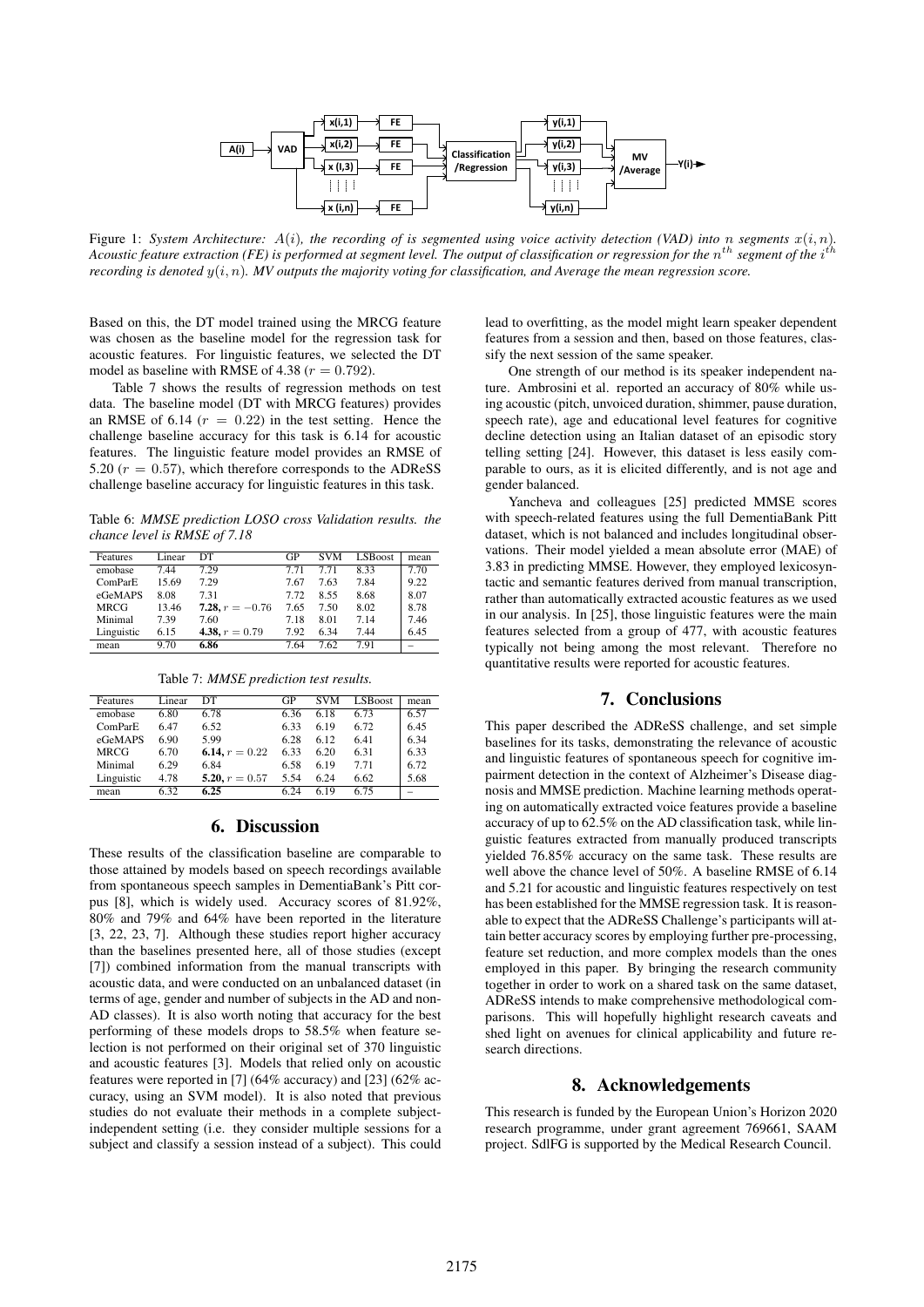

Figure 1: *System Architecture:*  $A(i)$ *, the recording of is segmented using voice activity detection (VAD) into* n *segments*  $x(i, n)$ *.* Acoustic feature extraction (FE) is performed at segment level. The output of classification or regression for the  $n^{th}$  segment of the i<sup>th</sup> *recording is denoted* y(i, n)*. MV outputs the majority voting for classification, and Average the mean regression score.*

Based on this, the DT model trained using the MRCG feature was chosen as the baseline model for the regression task for acoustic features. For linguistic features, we selected the DT model as baseline with RMSE of 4.38 ( $r = 0.792$ ).

Table 7 shows the results of regression methods on test data. The baseline model (DT with MRCG features) provides an RMSE of 6.14 ( $r = 0.22$ ) in the test setting. Hence the challenge baseline accuracy for this task is 6.14 for acoustic features. The linguistic feature model provides an RMSE of 5.20 ( $r = 0.57$ ), which therefore corresponds to the ADReSS challenge baseline accuracy for linguistic features in this task.

Table 6: *MMSE prediction LOSO cross Validation results. the chance level is RMSE of 7.18*

| Features   | Linear | DТ                | GP   | <b>SVM</b> | LSBoost | mean |
|------------|--------|-------------------|------|------------|---------|------|
| emobase    | 7.44   | 7.29              | 7.71 | 7.71       | 8.33    | 7.70 |
| ComParE    | 15.69  | 7.29              | 7.67 | 7.63       | 7.84    | 9.22 |
| eGeMAPS    | 8.08   | 7.31              | 7.72 | 8.55       | 8.68    | 8.07 |
| MRCG       | 13.46  | 7.28, $r = -0.76$ | 7.65 | 7.50       | 8.02    | 8.78 |
| Minimal    | 7.39   | 7.60              | 7.18 | 8.01       | 7.14    | 7.46 |
| Linguistic | 6.15   | 4.38, $r = 0.79$  | 7.92 | 6.34       | 7.44    | 6.45 |
| mean       | 9.70   | 6.86              | 7.64 | 7.62       | 7.91    |      |

Table 7: *MMSE prediction test results.*

| Features    | Linear | DТ               | GP   | <b>SVM</b> | <b>LSBoost</b> | mean |
|-------------|--------|------------------|------|------------|----------------|------|
| emobase     | 6.80   | 6.78             | 6.36 | 6.18       | 6.73           | 6.57 |
| ComParE     | 6.47   | 6.52             | 6.33 | 6.19       | 6.72           | 6.45 |
| eGeMAPS     | 6.90   | 5.99             | 6.28 | 6.12       | 6.41           | 6.34 |
| <b>MRCG</b> | 6.70   | 6.14, $r = 0.22$ | 6.33 | 6.20       | 6.31           | 6.33 |
| Minimal     | 6.29   | 6.84             | 6.58 | 6.19       | 7.71           | 6.72 |
| Linguistic  | 4.78   | 5.20, $r = 0.57$ | 5.54 | 6.24       | 6.62           | 5.68 |
| mean        | 6.32   | 6.25             | 6 24 | 619        | 6.75           |      |

#### 6. Discussion

These results of the classification baseline are comparable to those attained by models based on speech recordings available from spontaneous speech samples in DementiaBank's Pitt corpus [8], which is widely used. Accuracy scores of 81.92%, 80% and 79% and 64% have been reported in the literature [3, 22, 23, 7]. Although these studies report higher accuracy than the baselines presented here, all of those studies (except [7]) combined information from the manual transcripts with acoustic data, and were conducted on an unbalanced dataset (in terms of age, gender and number of subjects in the AD and non-AD classes). It is also worth noting that accuracy for the best performing of these models drops to 58.5% when feature selection is not performed on their original set of 370 linguistic and acoustic features [3]. Models that relied only on acoustic features were reported in [7] (64% accuracy) and [23] (62% accuracy, using an SVM model). It is also noted that previous studies do not evaluate their methods in a complete subjectindependent setting (i.e. they consider multiple sessions for a subject and classify a session instead of a subject). This could

lead to overfitting, as the model might learn speaker dependent features from a session and then, based on those features, classify the next session of the same speaker.

One strength of our method is its speaker independent nature. Ambrosini et al. reported an accuracy of 80% while using acoustic (pitch, unvoiced duration, shimmer, pause duration, speech rate), age and educational level features for cognitive decline detection using an Italian dataset of an episodic story telling setting [24]. However, this dataset is less easily comparable to ours, as it is elicited differently, and is not age and gender balanced.

Yancheva and colleagues [25] predicted MMSE scores with speech-related features using the full DementiaBank Pitt dataset, which is not balanced and includes longitudinal observations. Their model yielded a mean absolute error (MAE) of 3.83 in predicting MMSE. However, they employed lexicosyntactic and semantic features derived from manual transcription, rather than automatically extracted acoustic features as we used in our analysis. In [25], those linguistic features were the main features selected from a group of 477, with acoustic features typically not being among the most relevant. Therefore no quantitative results were reported for acoustic features.

### 7. Conclusions

This paper described the ADReSS challenge, and set simple baselines for its tasks, demonstrating the relevance of acoustic and linguistic features of spontaneous speech for cognitive impairment detection in the context of Alzheimer's Disease diagnosis and MMSE prediction. Machine learning methods operating on automatically extracted voice features provide a baseline accuracy of up to 62.5% on the AD classification task, while linguistic features extracted from manually produced transcripts yielded 76.85% accuracy on the same task. These results are well above the chance level of 50%. A baseline RMSE of 6.14 and 5.21 for acoustic and linguistic features respectively on test has been established for the MMSE regression task. It is reasonable to expect that the ADReSS Challenge's participants will attain better accuracy scores by employing further pre-processing, feature set reduction, and more complex models than the ones employed in this paper. By bringing the research community together in order to work on a shared task on the same dataset, ADReSS intends to make comprehensive methodological comparisons. This will hopefully highlight research caveats and shed light on avenues for clinical applicability and future research directions.

#### 8. Acknowledgements

This research is funded by the European Union's Horizon 2020 research programme, under grant agreement 769661, SAAM project. SdlFG is supported by the Medical Research Council.